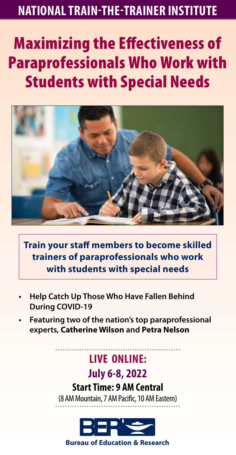# **NATIONAL TRAIN-THE-TRAINER INSTITUTE**

# **Maximizing the Effectiveness of** Paraprofessionals Who Work with Students with Special Needs



**Train your staff members to become skilled trainers of paraprofessionals who work with students with special needs**

- **• Help Catch Up Those Who Have Fallen Behind During COVID-19**
- **• Featuring two of the nation's top paraprofessional experts, Catherine Wilson and Petra Nelson**

# **LIVE ONLINE:**

# **July 6-8, 2022**

#### **Start Time: 9 AM Central**

(8 AM Mountain, 7 AM Pacific, 10 AM Eastern)



**1-800-800-800-800-800-800-800-800-81-425-453-453-453-453-453-453-453-1134 Porcine Bureau of Education & Research**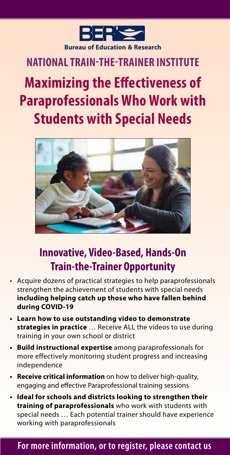

# **NATIONAL TRAIN-THE-TRAINER INSTITUTE**

# **Maximizing the Effectiveness of Paraprofessionals Who Work with Students with Special Needs**



# **Innovative, Video-Based, Hands-On Train-the-Trainer Opportunity**

- Acquire dozens of practical strategies to help paraprofessionals strengthen the achievement of students with special needs **including helping catch up those who have fallen behind during COVID-19**
- **• Learn how to use outstanding video to demonstrate strategies in practice** … Receive ALL the videos to use during training in your own school or district
- **• Build instructional expertise** among paraprofessionals for more effectively monitoring student progress and increasing independence
- **• Receive critical information** on how to deliver high-quality, engaging and effective Paraprofessional training sessions
- **• Ideal for schools and districts looking to strengthen their training of paraprofessionals** who work with students with special needs … Each potential trainer should have experience working with paraprofessionals

#### For more information, or to register, please contact us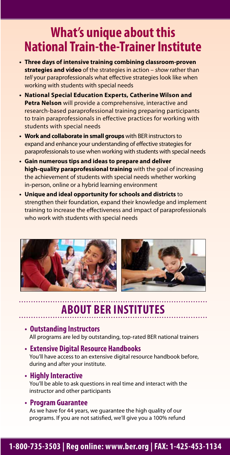# **What's unique about this National Train-the-Trainer Institute**

- **• Three days of intensive training combining classroom-proven strategies and video** of the strategies in action – *show* rather than *tell* your paraprofessionals what effective strategies look like when working with students with special needs
- **• National Special Education Experts, Catherine Wilson and Petra Nelson** will provide a comprehensive, interactive and research-based paraprofessional training preparing participants to train paraprofessionals in effective practices for working with students with special needs
- **• Work and collaborate in small groups** with BER instructors to expand and enhance your understanding of effective strategies for paraprofessionals to use when working with students with special needs
- **• Gain numerous tips and ideas to prepare and deliver high-quality paraprofessional training** with the goal of increasing the achievement of students with special needs whether working in-person, online or a hybrid learning environment
- **• Unique and ideal opportunity for schools and districts** to strengthen their foundation, expand their knowledge and implement training to increase the effectiveness and impact of paraprofessionals who work with students with special needs





# **ABOUT BER INSTITUTES**

#### **• Outstanding Instructors**

All programs are led by outstanding, top-rated BER national trainers

#### **• Extensive Digital Resource Handbooks**

You'll have access to an extensive digital resource handbook before, during and after your institute.

#### **• Highly Interactive**

You'll be able to ask questions in real time and interact with the instructor and other participants

#### **• Program Guarantee**

As we have for 44 years, we guarantee the high quality of our programs. If you are not satisfied, we'll give you a 100% refund

#### **1-800-735-3503 | Reg online: www.ber.org | FAX: 1-425-453-1134 For more information, or to register, please contact us**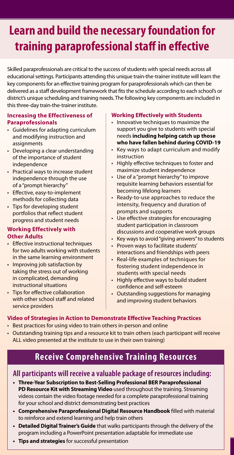# **Learn and build the necessary foundation for training paraprofessional staff in effective**

Skilled paraprofessionals are critical to the success of students with special needs across all educational settings. Participants attending this unique train-the-trainer institute will learn the key components for an effective training program for paraprofessionals which can then be delivered as a staff development framework that fits the schedule according to each school's or district's unique scheduling and training needs. The following key components are included in this three-day train-the-trainer institute.

#### **Increasing the Effectiveness of Paraprofessionals**

- Guidelines for adapting curriculum and modifying instruction and assignments
- Developing a clear understanding of the importance of student independence
- Practical ways to increase student independence through the use of a "prompt hierarchy"
- Effective, easy-to-implement methods for collecting data
- Tips for developing student portfolios that reflect student progress and student needs

#### **Working Effectively with Other Adults**

- Effective instructional techniques for two adults working with students in the same learning environment
- Improving job satisfaction by taking the stress out of working in complicated, demanding instructional situations
- Tips for effective collaboration with other school staff and related service providers

#### **Working Effectively with Students**

- Innovative techniques to maximize the support you give to students with special needs **including helping catch up those who have fallen behind during COVID-19**
- Key ways to adapt curriculum and modify instruction
- Highly effective techniques to foster and maximize student independence
- Use of a "prompt hierarchy" to improve requisite learning behaviors essential for becoming lifelong learners
- Ready-to-use approaches to reduce the intensity, frequency and duration of prompts and supports
- Use effective strategies for encouraging student participation in classroom discussions and cooperative work groups
- Key ways to avoid "giving answers" to students
- Proven ways to facilitate students' interactions and friendships with peers
- Real-life examples of techniques for fostering student independence in students with special needs
- Highly effective ways to build student confidence and self-esteem
- Outstanding suggestions for managing and improving student behaviors

#### **Video of Strategies in Action to Demonstrate Effective Teaching Practices**

- Best practices for using video to train others in-person and online
- Outstanding training tips and a resource kit to train others (each participant will receive ALL video presented at the institute to use in their own training)

#### **Receive Comprehensive Training Resources**

#### **All participants will receive a valuable package of resources including:**

- **• Three-Year Subscription to Best-Selling Professional BER Paraprofessional PD Resource Kit with Streaming Video** used throughout the training. Streaming videos contain the video footage needed for a complete paraprofessional training for your school and district demonstrating best practices
- **Comprehensive Paraprofessional Digital Resource Handbook filled with material** to reinforce and extend learning and help train others
- **• Detailed Digital Trainer's Guide** that walks participants through the delivery of the program including a PowerPoint presentation adaptable for immediate use
- **• Tips and strategies** for successful presentation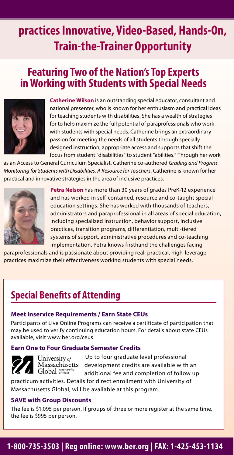# **practices Innovative, Video-Based, Hands-On, Train-the-Trainer Opportunity**

# **Featuring Two of the Nation's Top Experts in Working with Students with Special Needs**



**Catherine Wilson** is an outstanding special educator, consultant and national presenter, who is known for her enthusiasm and practical ideas for teaching students with disabilities. She has a wealth of strategies for to help maximize the full potential of paraprofessionals who work with students with special needs. Catherine brings an extraordinary passion for meeting the needs of all students through specially designed instruction, appropriate access and supports that shift the focus from student "disabilities" to student "abilities." Through her work

as an Access to General Curriculum Specialist, Catherine co-authored *Grading and Progress Monitoring for Students with Disabilities, A Resource for Teachers*. Catherine is known for her practical and innovative strategies in the area of inclusive practices.



**Petra Nelson** has more than 30 years of grades PreK-12 experience and has worked in self-contained, resource and co-taught special education settings. She has worked with thousands of teachers, administrators and paraprofessional in all areas of special education, including specialized instruction, behavior support, inclusive practices, transition programs, differentiation, multi-tiered systems of support, administrative procedures and co-teaching implementation. Petra knows firsthand the challenges facing

paraprofessionals and is passionate about providing real, practical, high-leverage practices maximize their effectiveness working students with special needs.

# **Special Benefits of Attending**

#### **Meet Inservice Requirements / Earn State CEUs**

Participants of Live Online Programs can receive a certificate of participation that may be used to verify continuing education hours. For details about state CEUs available, visit www.ber.org/ceus

#### **Earn One to Four Graduate Semester Credits**



University of Massachusetts Global Anonprofit

Up to four graduate level professional development credits are available with an additional fee and completion of follow up

practicum activities. Details for direct enrollment with University of Massachusetts Global, will be available at this program.

#### **SAVE with Group Discounts**

The fee is \$1,095 per person. If groups of three or more register at the same time, the fee is \$995 per person.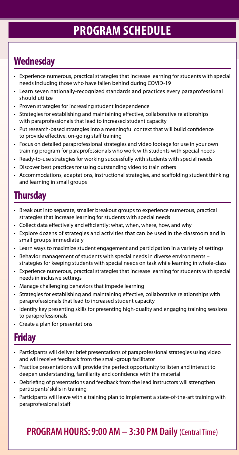# **PROGRAM SCHEDULE**

# **Wednesday**

- Experience numerous, practical strategies that increase learning for students with special needs including those who have fallen behind during COVID-19
- Learn seven nationally-recognized standards and practices every paraprofessional should utilize
- Proven strategies for increasing student independence
- Strategies for establishing and maintaining effective, collaborative relationships with paraprofessionals that lead to increased student capacity
- Put research-based strategies into a meaningful context that will build confidence to provide effective, on-going staff training
- Focus on detailed paraprofessional strategies and video footage for use in your own training program for paraprofessionals who work with students with special needs
- Ready-to-use strategies for working successfully with students with special needs
- Discover best practices for using outstanding video to train others
- Accommodations, adaptations, instructional strategies, and scaffolding student thinking and learning in small groups

### **Thursday**

- Break out into separate, smaller breakout groups to experience numerous, practical strategies that increase learning for students with special needs
- Collect data effectively and efficiently: what, when, where, how, and why
- Explore dozens of strategies and activities that can be used in the classroom and in small groups immediately
- Learn ways to maximize student engagement and participation in a variety of settings
- Behavior management of students with special needs in diverse environments strategies for keeping students with special needs on task while learning in whole-class
- Experience numerous, practical strategies that increase learning for students with special needs in inclusive settings
- Manage challenging behaviors that impede learning
- Strategies for establishing and maintaining effective, collaborative relationships with paraprofessionals that lead to increased student capacity
- Identify key presenting skills for presenting high-quality and engaging training sessions to paraprofessionals
- Create a plan for presentations

# **Friday**

- Participants will deliver brief presentations of paraprofessional strategies using video and will receive feedback from the small-group facilitator
- Practice presentations will provide the perfect opportunity to listen and interact to deepen understanding, familiarity and confidence with the material
- Debriefing of presentations and feedback from the lead instructors will strengthen participants' skills in training
- Participants will leave with a training plan to implement a state-of-the-art training with paraprofessional sta

**PROGRAM HOURS: 9:00 AM – 3:30 PM Daily** (Central Time)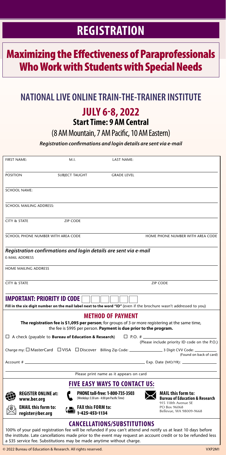# **REGISTRATION**

# **Maximizing the Effectiveness of Paraprofessionals** Who Work with Students with Special Needs

#### **NATIONAL LIVE ONLINE TRAIN-THE-TRAINER INSTITUTE**

### **JULY 6-8, 2022**

#### **Start Time: 9 AM Central**

(8 AM Mountain, 7 AM Pacific, 10 AM Eastern)

*Registration conrmations and login details are sent via e-mail*

| FIRST NAME:                                                                                                                                                                                                                                                                                                                                    | M.I.                                                             | <b>LAST NAME:</b>                                                            |                                                                                               |
|------------------------------------------------------------------------------------------------------------------------------------------------------------------------------------------------------------------------------------------------------------------------------------------------------------------------------------------------|------------------------------------------------------------------|------------------------------------------------------------------------------|-----------------------------------------------------------------------------------------------|
| <b>POSITION</b>                                                                                                                                                                                                                                                                                                                                |                                                                  | <b>GRADE LEVEL</b>                                                           |                                                                                               |
|                                                                                                                                                                                                                                                                                                                                                | <b>SUBJECT TAUGHT</b>                                            |                                                                              |                                                                                               |
| <b>SCHOOL NAME:</b>                                                                                                                                                                                                                                                                                                                            |                                                                  |                                                                              |                                                                                               |
| SCHOOL MAILING ADDRESS:                                                                                                                                                                                                                                                                                                                        |                                                                  |                                                                              |                                                                                               |
| CITY & STATE                                                                                                                                                                                                                                                                                                                                   | ZIP CODE                                                         |                                                                              |                                                                                               |
| SCHOOL PHONE NUMBER WITH AREA CODE                                                                                                                                                                                                                                                                                                             |                                                                  |                                                                              | HOME PHONE NUMBER WITH AREA CODE                                                              |
| <b>E-MAIL ADDRESS</b>                                                                                                                                                                                                                                                                                                                          | Registration confirmations and login details are sent via e-mail |                                                                              |                                                                                               |
| HOME MAILING ADDRESS                                                                                                                                                                                                                                                                                                                           |                                                                  |                                                                              |                                                                                               |
| CITY & STATE                                                                                                                                                                                                                                                                                                                                   |                                                                  |                                                                              | <b>ZIP CODE</b>                                                                               |
| <b>IMPORTANT: PRIORITY ID CODE</b><br>Fill in the six digit number on the mail label next to the word "ID" (even if the brochure wasn't addressed to you)                                                                                                                                                                                      |                                                                  |                                                                              |                                                                                               |
| <b>METHOD OF PAYMENT</b><br>The registration fee is \$1,095 per person; for groups of 3 or more registering at the same time,<br>the fee is \$995 per person. Payment is due prior to the program.                                                                                                                                             |                                                                  |                                                                              |                                                                                               |
| $\Box$ A check (payable to <b>Bureau of Education &amp; Research</b> )<br>$\Box$ P.O. #                                                                                                                                                                                                                                                        |                                                                  |                                                                              |                                                                                               |
|                                                                                                                                                                                                                                                                                                                                                |                                                                  |                                                                              | (Please include priority ID code on the P.O.)                                                 |
|                                                                                                                                                                                                                                                                                                                                                |                                                                  |                                                                              | (Found on back of card)                                                                       |
| Account # __                                                                                                                                                                                                                                                                                                                                   |                                                                  |                                                                              | $\sqrt{E(X)}$ Exp. Date (MO/YR): $\sqrt{E(X)}$                                                |
| Please print name as it appears on card                                                                                                                                                                                                                                                                                                        |                                                                  |                                                                              |                                                                                               |
| <b>FIVE EASY WAYS TO CONTACT US:</b>                                                                                                                                                                                                                                                                                                           |                                                                  |                                                                              |                                                                                               |
| <b>REGISTER ONLINE at:</b><br>www.ber.org                                                                                                                                                                                                                                                                                                      |                                                                  | PHONE toll-free: 1-800-735-3503<br>(Weekdays 5:30 am - 4:00 pm Pacific Time) | <b>MAIL this form to:</b><br><b>Bureau of Education &amp; Research</b><br>915 118th Avenue SE |
| <b>EMAIL this form to:</b><br>register@ber.org                                                                                                                                                                                                                                                                                                 | $\mathbf{L}$ FAX this FORM to:<br>■ 1-425-453-1134               |                                                                              | PO Box 96068<br>Bellevue, WA 98009-9668                                                       |
| <b>CANCELLATIONS/SUBSTITUTIONS</b><br>100% of your paid registration fee will be refunded if you can't attend and notify us at least 10 days before<br>the institute. Late cancellations made prior to the event may request an account credit or to be refunded less<br>a \$35 service fee. Substitutions may be made anytime without charge. |                                                                  |                                                                              |                                                                                               |

© 2022 Bureau of Education & Research. All rights reserved. VXP2M1